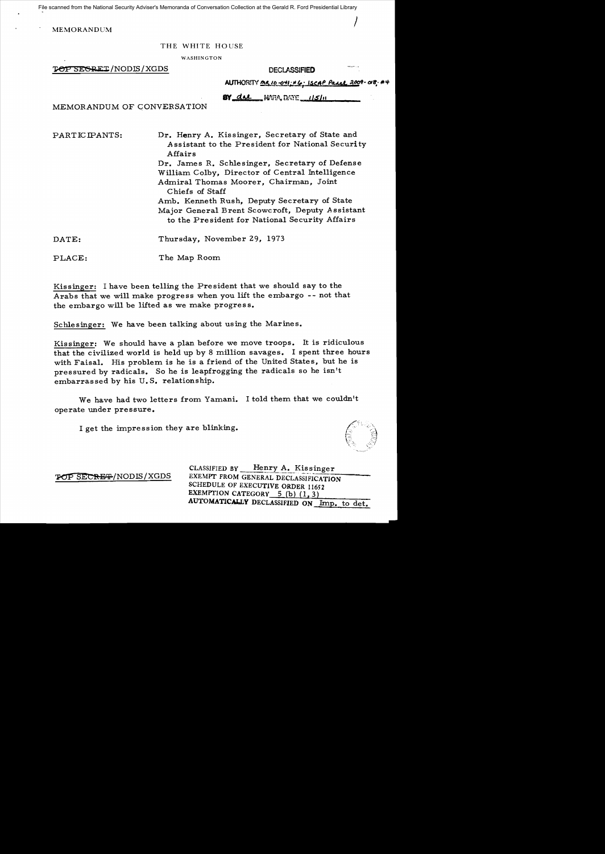File scanned from the National Security Adviser's Memoranda of Conversation Collection at the Gerald R. Ford Presidential Library

 $\int_{\mathbb{R}^2}$ 

MEMORANDUM

## THE WHITE HOUSE

WASHINGTON

 $\overline{P}$   $\overline{O}$   $\overline{P}$   $\overline{S}$   $\overline{S}$   $\overline{S}$   $\overline{S}$   $\overline{S}$   $\overline{S}$   $\overline{S}$   $\overline{S}$   $\overline{S}$   $\overline{S}$   $\overline{S}$   $\overline{S}$   $\overline{S}$   $\overline{S}$   $\overline{S}$   $\overline{S}$   $\overline{S}$   $\overline{S}$   $\overline{S}$   $\overline{S}$   $\overline{S}$   $\overline{S$ 

|  | AUTHORITY <u>MR 10-041; NG; ISCAP Parrel 200</u> 9-018; #4 |  |  |
|--|------------------------------------------------------------|--|--|
|--|------------------------------------------------------------|--|--|

**BY dal WEA, DATE** 115111 MEMORANDUM OF CONVERSATION

PARTICIPANTS: Dr. Henry A. Kissinger, Secretary of State and *A* ssistant to the President for National Security Affairs Dr. James R. Schlesinger, Secretary of Defense William Colby, Director of Central Intelligence

Admiral Thomas Moorer, Chairman, Joint Chiefs of Staff Amb. Kenneth Rush, Deputy Secretary of State Major General Brent Scowcroft, Deputy Assistant

to the Pre sident for National Security Affairs

DATE: Thursday, November 29, 1973

PLACE: The Map Room

Kissinger: I have been telling the President that we should say to the Arabs that we will make progress when you lift the embargo -- not that the embargo will be lifted as we make progres s.

Schlesinger: We have been talking about using the Marines.

Kissinger: We should have a plan before we move troops. It is ridiculous that the civilized world is held up by 8 million savages. I spent three hours with Faisal. His problem is he is a friend of the United States, but he is pressured by radicals. So he is leapfrogging the radicals so he isn't embarras sed by his U. S. relationship.

We have had two letters from Yamani. I told them that we couldn't operate under pressure.

I get the impression they are blinking.

CLASSIFIED BY Henry A. Kissinger TOP SECRET/NODIS/XGDS EXEMPT FROM GENERAL DECLASSIFICATION SCHEDULE OF EXECUTIVE ORDER 11652 EXEMPTION CATEGORY  $5$  (b) (1, 3) AUTOMATICALLY DECLASSIFIED ON Imp. to det.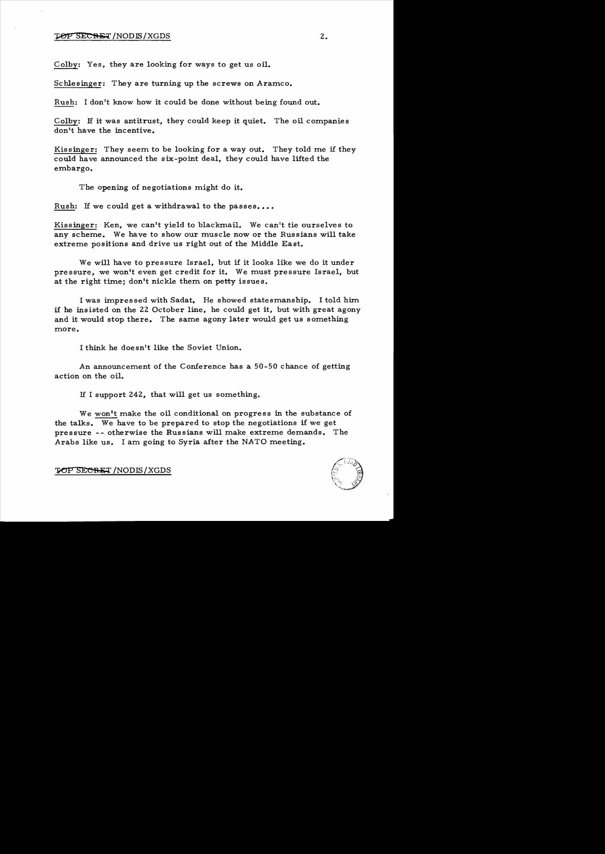#### **TOP SECRET**/NODIS/XGDS 2.

Colby: Yes, they are looking for ways to get us oil.

Schlesinger: They are turning up the screws on Aramco.

Rush: I don't know how it could be done without being found out.

Colby: If it was antitrust, they could keep it quiet. The oil companies don't have the incentive.

Kissinger: They seem to be looking for a way out. They told me if they could have announced the six-point deal, they could have lifted the embargo.

The opening of negotiations might do it.

Rush: If we could get a withdrawal to the passes....

Kissinger: Ken, we can't yield to blackmail. We can't tie ourselves to any scheme. We have to show our muscle now or the Russians will take extreme positions and drive us right out of the Middle East.

We will have to pressure Israel, but if it looks like we do it under pressure, we won't even get credit for it. We must pressure Israel, but at the right time; don't nickle them on petty issues.

I was impressed with Sadat. He showed statesmanship. I told him if he insisted on the 22 October line, he could get it, but with great agony and it would stop there. The same agony later would get us something more.

I think he doesn't like the Soviet Union.

An announcement of the Conference has a 50-50 chance of getting action on the oil.

If I support 242, that will get us something.

We won't make the oil conditional on progress in the substance of the talks. We have to be prepared to stop the negotiations if we get pressure -- otherwise the Russians will make extreme demands. The Arabs like us. I am going to Syria after the NATO meeting.



TOP SECRET / NODIS / XGDS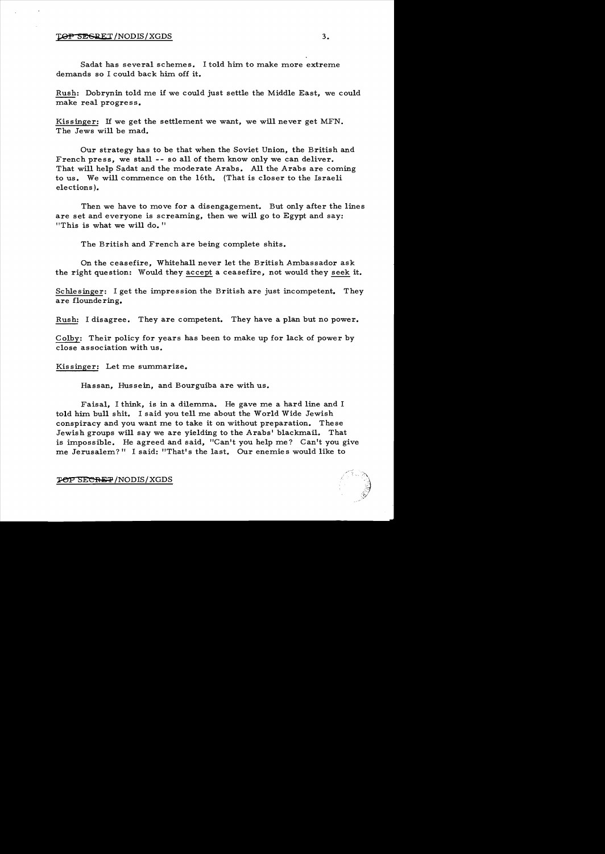#### TOP SEGRET/NODIS/XGDS 3.

Sadat has several schemes. I told him to make more extreme demands so I could back him off it.

Rush: Dobrynin told me if we could just settle the Middle East, we could make real progress.

Kissinger: If we get the settlement we want, we will never get MFN. The Jews will be mad.

Our strategy has to be that when the Soviet Union, the British and French press, we stall -- so all of them know only we can deliver. That will help Sadat and the moderate Arabs. All the Arabs are coming to us. We will commence on the 16th. (That is closer to the Israeli elections ).

Then we have to move for a disengagement. But only after the lines are set and everyone is screaming, then we will go to Egypt and say: "This is what we will do. "

The British and French are being complete shits.

On the ceasefire, Whitehall never let the British Ambassador ask the right question: Would they accept a ceasefire, not would they seek it.

Schlesinger: I get the impression the British are just incompetent. They are flounde ring.

Rush: I disagree. They are competent. They have a plan but no power.

Colby: Their policy for years has been to make up for lack of power by close association with us.

Kissinger: Let me summarize.

Hassan, Hussein, and Bourguiba are with us.

Faisal, I think, is in a dilemma. He gave me a hard line and I told him bull shit. I said you tell me about the World Wide Jewish conspiracy and you want me to take it on without preparation. These Jewish groups will say we are yielding to the Arabs' blackmail. That is impossible. He agreed and said, "Can't you help me? Can't you give me Jerusalem?" I said: "That's the last. Our enemies would like to

**TOP SECRET/NODIS/XGDS**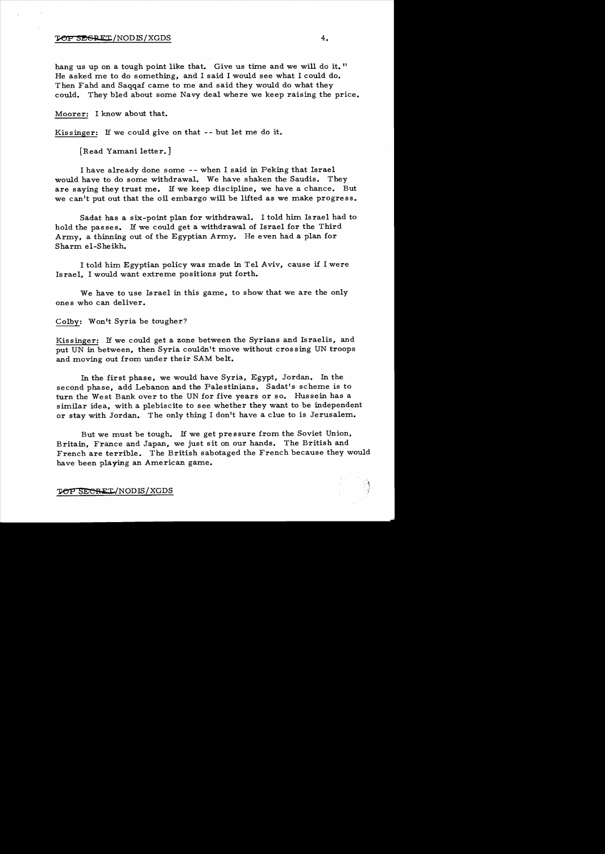hang us up on a tough point like that. Give us time and we will do it." He asked me to do something, and I said I would see what I could do. Then Fahd and Saqqaf came to me and said they would do what they could. They bled about some Navy deal where we keep raising the price.

Moorer: I know about that.

Kissinger: If we could give on that -- but let me do it.

[Read Yamani letter.]

I have already done some -- when I said in Peking that Israel would have to do some withdrawal. We have shaken the Saudis. They are saying they trust me. If we keep discipline, we have a chance. But we can't put out that the oil embargo will be lifted as we make progress.

Sadat has a six-point plan for withdrawal. I told him Israel had to hold the passes. If we could get a withdrawal of Israel for the Third Army, a thinning out of the Egyptian Army. He even had a plan for Sharm el-Sheikh.

I told him Egyptian policy was made in Tel Aviv, cause if I were Israel, I would want extreme positions put forth.

We have to use Israel in this game, to show that we are the only ones who can deliver.

Colby: Won't Syria be tougher?

Kissinger: If we could get a zone between the Syrians and Israelis, and put UN in between, then Syria couldn't move without crossing UN troops and moving out from under their SAM belt.

In the first phase, we would have Syria, Egypt, Jordan. In the second phase, add Lebanon and the Palestinians. Sadat's scheme is to turn the West Bank over to the UN for five years or so. Hussein has a similar idea, with a plebiscite to see whether they want to be independent or stay with Jordan. The only thing I don't have a clue to is Jerusalem.

But we must be tough. If we get pressure from the Soviet Union, Britain, France and Japan, we just sit on our hands. The British and French are terrible. The British sabotaged the French because they would have been playing an American game.

TOP SECRET/NODIS/XGDS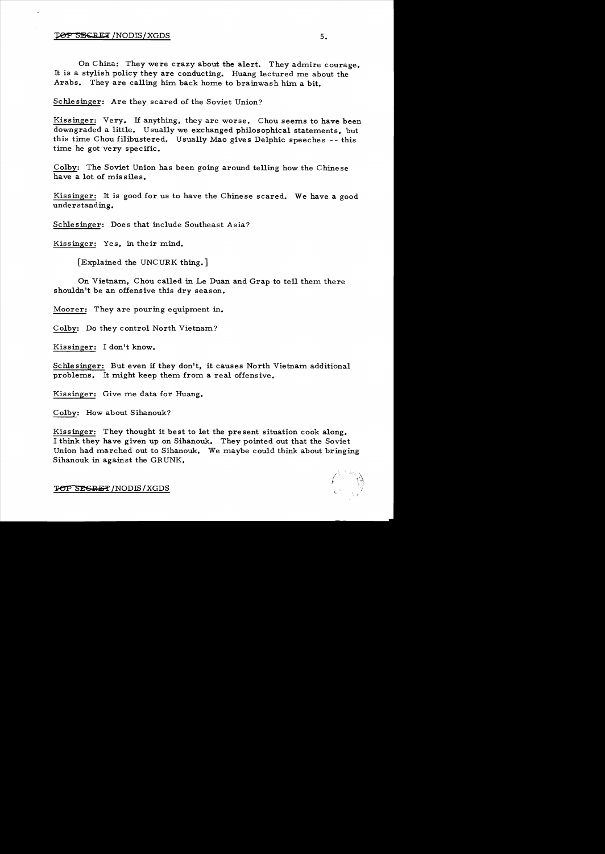## **TOP SECRET / NODIS / XGDS**

On China: They were crazy about the alert. They admire courage. It is a stylish policy they are conducting. Huang lectured me about the Arabs. They are calling him back home to brainwash him a bit.

Schlesinger: Are they scared of the Soviet Union?

Kissinger: Very. If anything, they are worse. Chou seems to have been downgraded a little. Usually we exchanged philosophical statements, but this time Chou filibustered. Usually Mao gives Delphic speeches -- this time he got very specific.

Colby: The Soviet Union has been going around telling how the Chinese have a lot of missiles.

Kissinger: It is good for us to have the Chinese scared. We have a good understanding.

Schlesinger: Does that include Southeast Asia?

Kissinger: Yes, in their mind.

[Explained the UNCURK thing.]

On Vietnam, Chou called in Le Duan and Grap to tell them there shouldn't be an offensive this dry season.

Moorer: They are pouring equipment in.

Colby: Do they control North Vietnam?

Kissinger: I don't know.

Schle singer: But even if they don't, it causes North Vietnam additional problems. It might keep them from a real offensive.

Kissinger: Give me data for Huang.

Colby: How about Sihanouk?

Kissinger: They thought it best to let the present situation cook along. I think they have given up on Sihanouk. They pointed out that the Soviet Union had marched out to Sihanouk. We maybe could think about bringing Sihanouk in against the GRUNK.



**TOP SEGRET / NODIS / XGDS**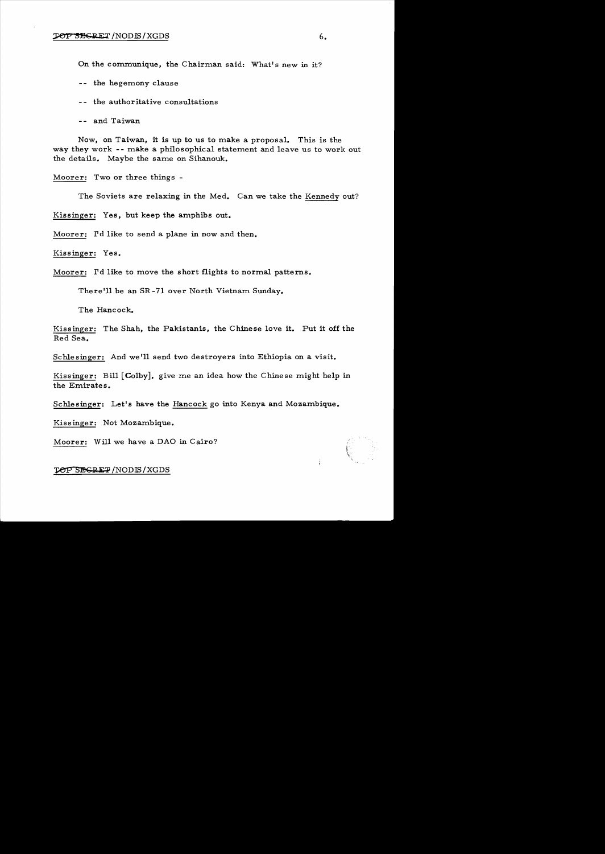On the communique, the Chairman said: What's new in it?

-- the hegemony clause

-- the authoritative consultations

-- and Taiwan

Now, on Taiwan, it is up to us to make a proposal. This is the way they work -- make a philosophical statement and leave us to work out the details. Maybe the same on Sihanouk.

Moorer: Two or three things

The Soviets are relaxing in the Med. Can we take the Kennedy out?

Kissinger: Yes, but keep the amphibs out.

Moorer: I'd like to send a plane in now and then.

Kissinger: Yes.

Moorer: I'd like to move the short flights to normal patterns.

There'll be an SR -71 over North Vietnam Sunday.

The Hancock.

Kissinger: The Shah, the Pakistanis, the Chinese love it. Put it off the Red Sea.

Schlesinger: And we'll send two destroyers into Ethiopia on a visit.

Kissinger: Bill  $[Colby]$ , give me an idea how the Chinese might help in the Emirate s.

Schlesinger: Let's have the Hancock go into Kenya and Mozambique.

Kissinger: Not Mozambique.

Moorer: Will we have a DAO in Cairo?

#### **TOP SEGRET / NODIS / XGDS**

i.<br>K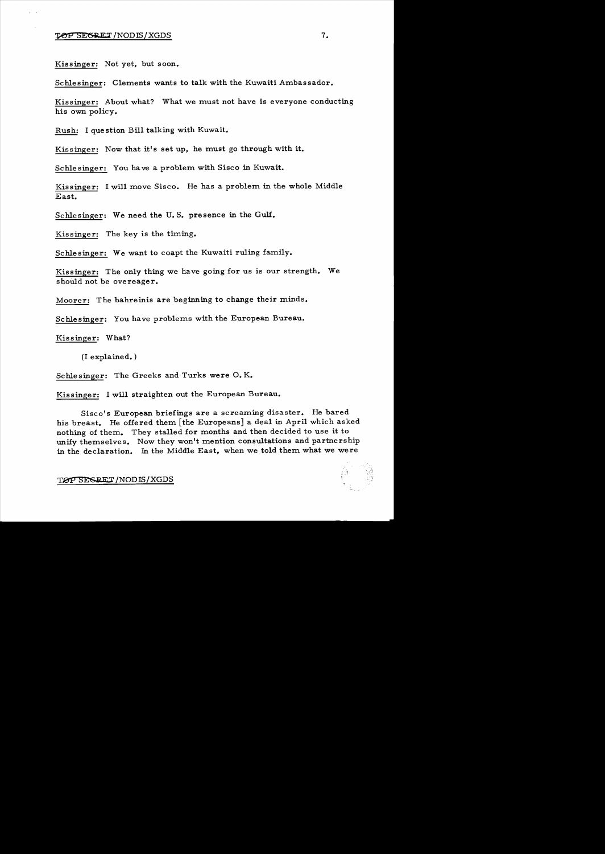Kissinger: Not yet, but soon.

Schlesinger: Clements wants to talk with the Kuwaiti Ambassador.

Kissinger: About what? What we must not have is everyone conducting his own policy.

Rush: I question Bill talking with Kuwait.

Kissinger: Now that it's set up, he must go through with it.

Schlesinger: You have a problem with Sisco in Kuwait.

Kissinger: I will move Sisco. He has a problem in the whole Middle East.

Schlesinger: We need the U. S. presence in the Gulf.

Kissinger: The key is the timing.

Schlesinger: We want to coapt the Kuwaiti ruling family.

Kissinger: The only thing we have going for us is our strength. We should not be overeager.

Moorer: The bahreinis are beginning to change their minds.

Schlesinger: You have problems with the European Bureau.

Kissinger: What?

(I explained. )

Schlesinger: The Greeks and Turks were O.K.

Kissinger: I will straighten out the European Bureau.

Sisco's European briefings are a screaming disaster. He bared his breast. He offered them [the Europeans] a deal in April which asked nothing of them. They stalled for months and then decided to use it to unify themselves. Now they won't mention consultations and partnership in the declaration. In the Middle East, when we told them what we were

TØP SESRET/NODIS/XGDS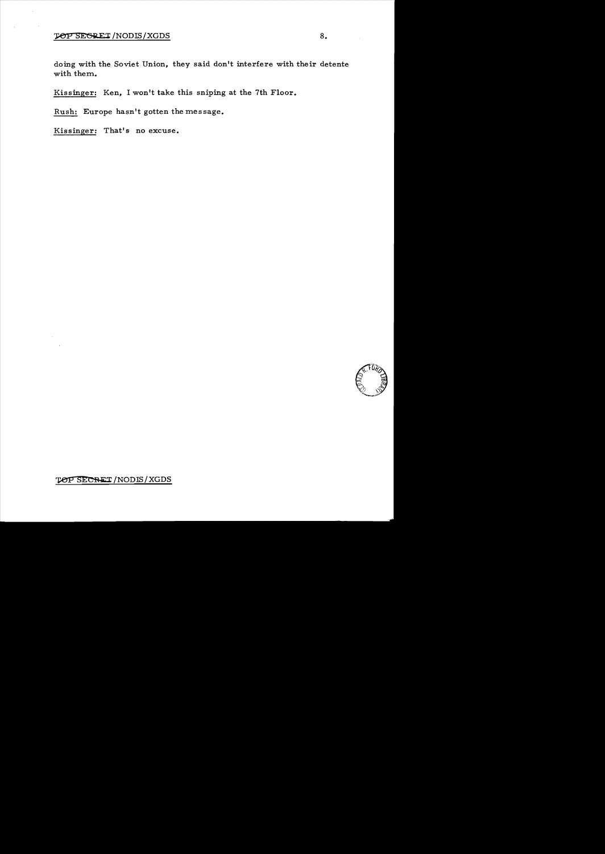doing with the Soviet Union, they said don't interfere with their detente with them.

Kissinger: Ken, I won't take this sniping at the 7th Floor.

Rush: Europe hasn't gotten the message.

Kissinger: That's no excuse.



TOP SECRET / NODIS / XGDS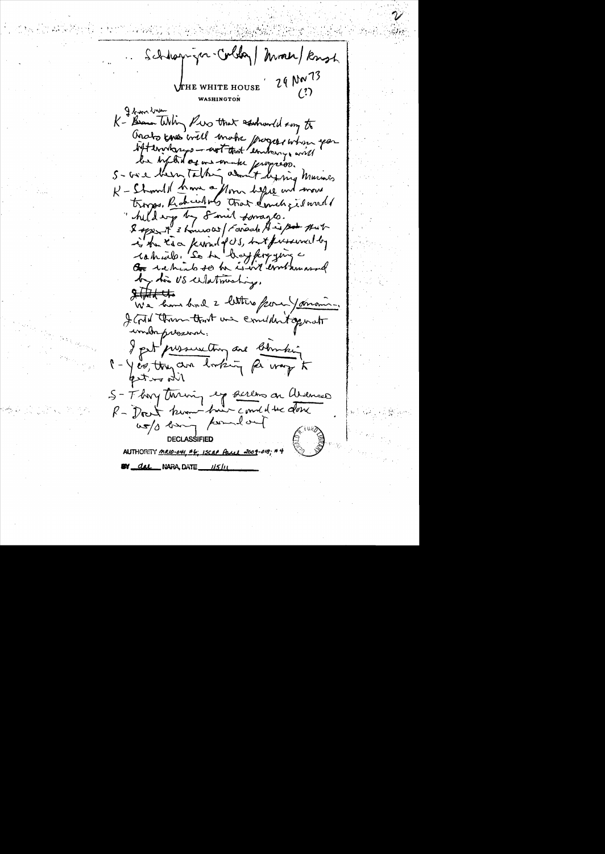Schloppiger-Coldar Month Knoch 29 NW 73 **\***f***THE\_WHITE\_HOUSE** WASHINGTON I ben brun K- Bram Whin Pres that esshowed song to Grats know will make progress when you lift enorges - not that entering will be lighted agains make proposed.<br>S-wie been talking about beging knownes K - Showld have a flow helde and move trongs, Rahaulas tras donchgiland hild wife by Smil Lonages. & open it 3 hours at / Farade A is put is he too kimil fos, but presenced by tatiale. Se to boy fire give a by this US cellationship.  $2 + 7 + 1$ We have bad 2 litters from yoursing I God them that we conclident operat indrprezent. I get pressure thing are blombing 1 - Yes, they are looking for way to the outed S-Thry through eye sereons on avenue R-Doct know him comeducation us/o long point out **DECLASSIFIED** AUTHORITY MRIO-041, #6; ISCAP Paul 2009 **BY del NARA, DATE** 115/11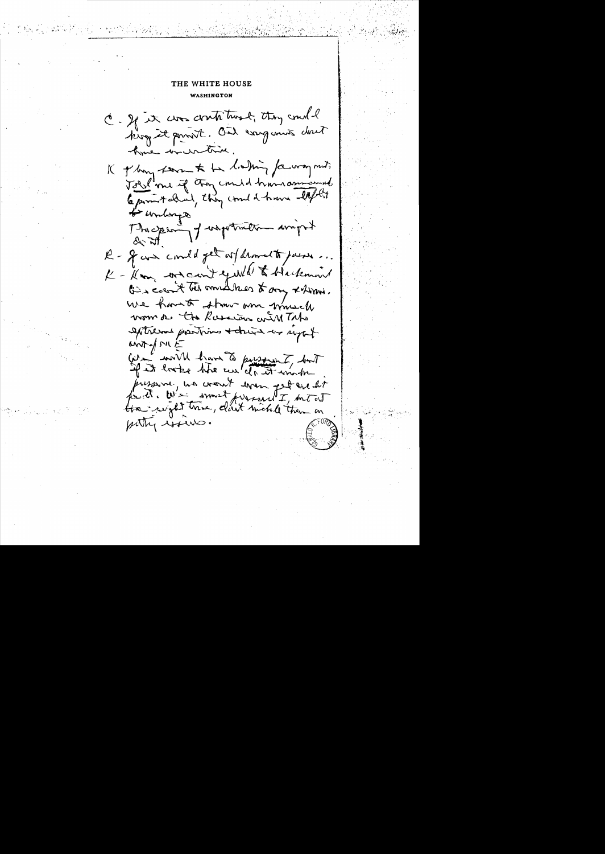C. If it was contribusel, they could king it point. Oil companis dont have incretive. K of him form to be liaking for way must Jobel me if they could him command Copmetalial, they could have lift ! to unberge Thisper of wapotration wight R- g con could get ar dromat to just K - Kom, we can't yikle to Hackmand Gis a count ten annualmes to any x him. We have to strow and much wom a the Russian with The extreme parties + chure as right  $and$  of  $N(i)$ We worth have to pursuint, but If it looks the cut of it unt pressure, we cont were get are let for it. W's i somet fursent I , but out putty issure.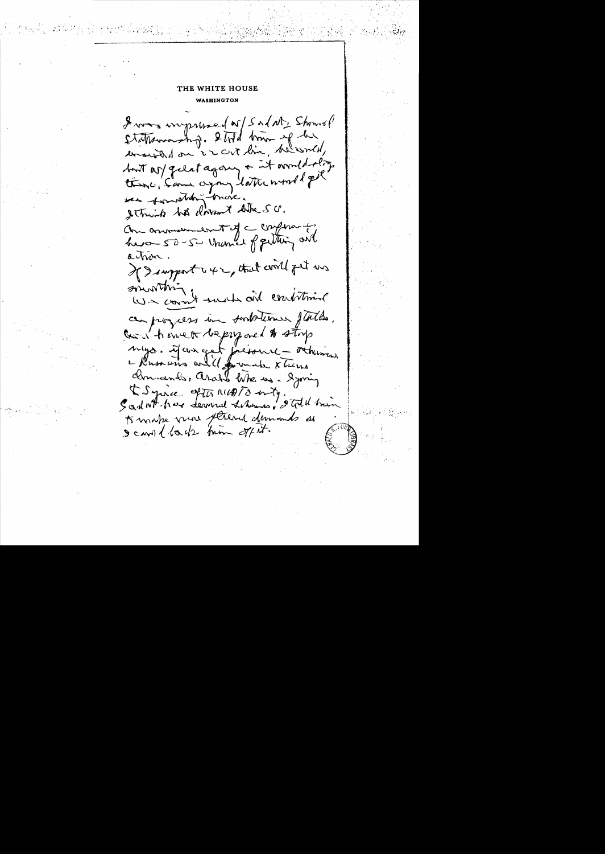From wrysmed w/Salat, Showel Stattsmorning. 2 told time of he considered on in cut line, helioned, but as geles agong + it would slige there, Same agong latter world pet is fourthing triere. String be drivent like SU. On annument of a conference havor 50-50 Unamed of getting and a trix. If I support i 42, that will get us sounthing We coment that and contition can progress in sombotioner flattes. God't encet bepry one to stop sulgo. il cun get fréssence - octuringen christends, arable like us. Syming I Syrice of the MUDIO enty. It is him to make vine strend dumands as scand lads him offit.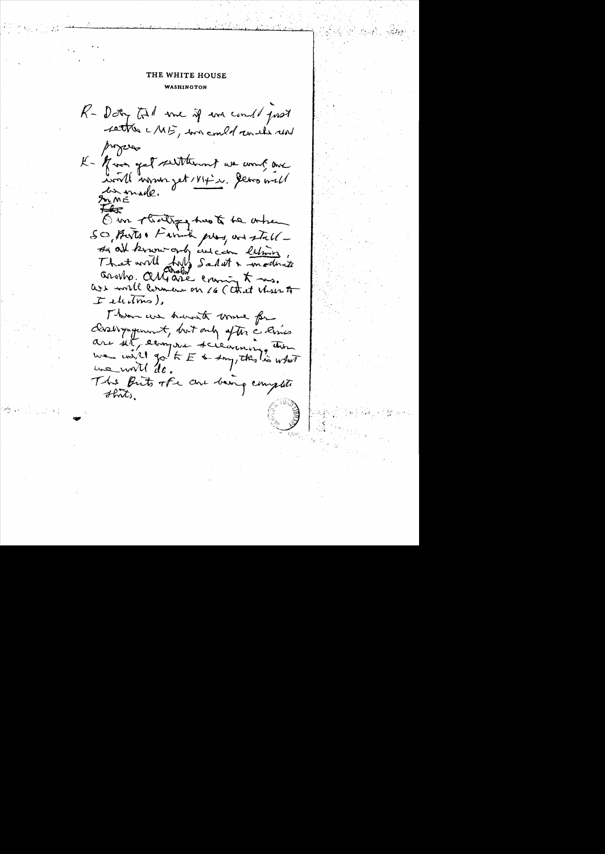R- Daty tol me if we could just settle MIE, we could result us propers K- Min get seithernt we wont are ivall upon get 1814 ... Demondel En made. Our strattiges has to be ontrem SO Buts & Farmit play are stall -It all know only we can letting, Arotho. Alliane enough to mes.  $t$  electrics), There we haven't work for closelvyagement, but only after a lines are set eargree scienting the we will go to E a smy, this lis what The first offer are being complete  $H_{\text{int}}$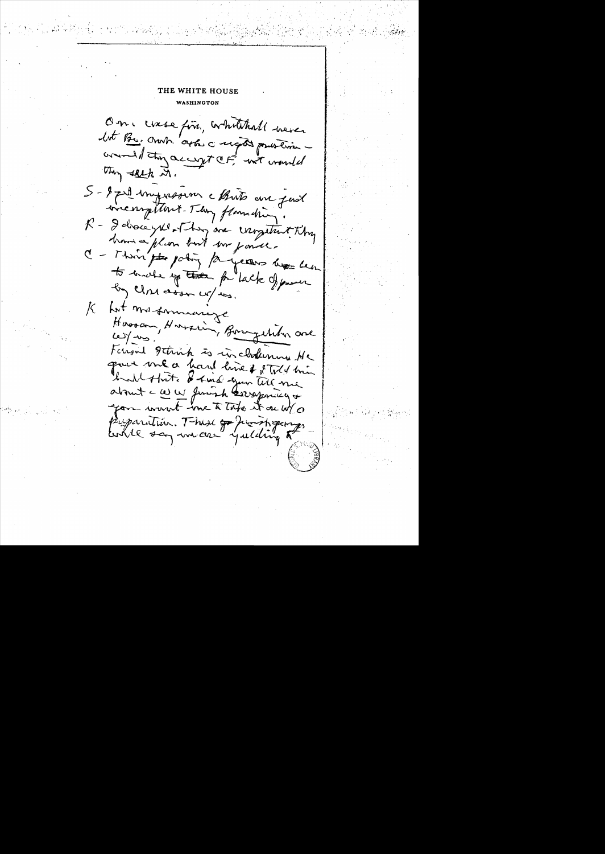One case fin, whitehall were lot Be, orach arts a regist published comment of the accept cast wanted they sold it. 5-2 pril impression chuts en fast inconfitunt-They flamating. R - I discript of his are insgitut thy have a plum but we power. C - Thing the policy for years less her to make up the for lack of proven by CIM asson up us. Lost mos formancyc К Hoosen, Hossein, Borngetcher one Forgal getirich is in clockening Ne gove me a hand line of told him but that I kind your tell me about - WW Junish Grospowicy + gon wount me to take it on w/o uparation. Thus go finish gang tookke say unices yulding 5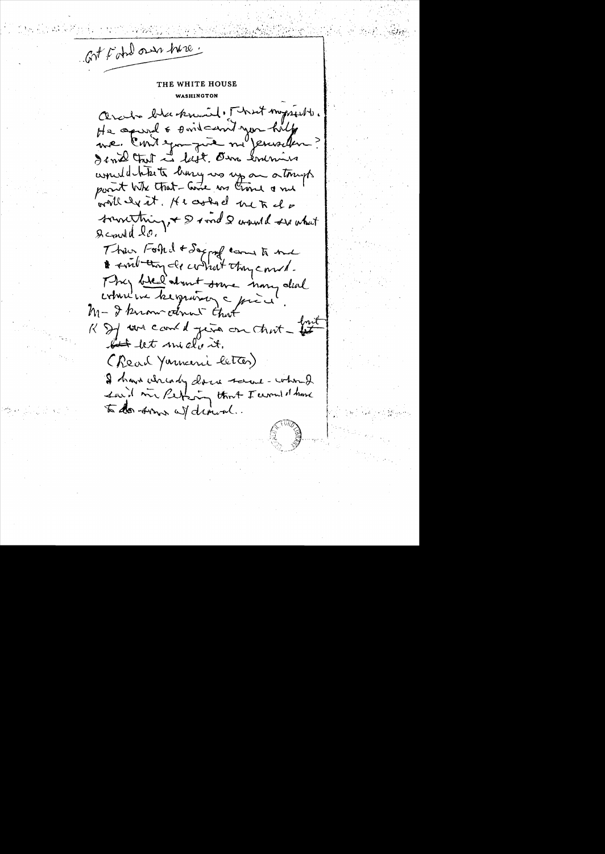Got Foto our hire.

Obraha blackment, That myssists. He aproved & sorit can't you help me context me par le me would that large wo up an atomyts point Wh that - Come ws time a me will ly it. He cooked me to do something, + & sond & wanted see what  $g_{cond}$   $g_{c}$ 

Then Foot I + Saggreg came to me to smithing de contrat they could. They bled about some mong deal comment kegraving a price M- I know come that K If we can't give on that - that let let micle it. (Read Youncerie letter) I have when dy done same - whom I said wir Perfecting that I cannot have to do some af dimon.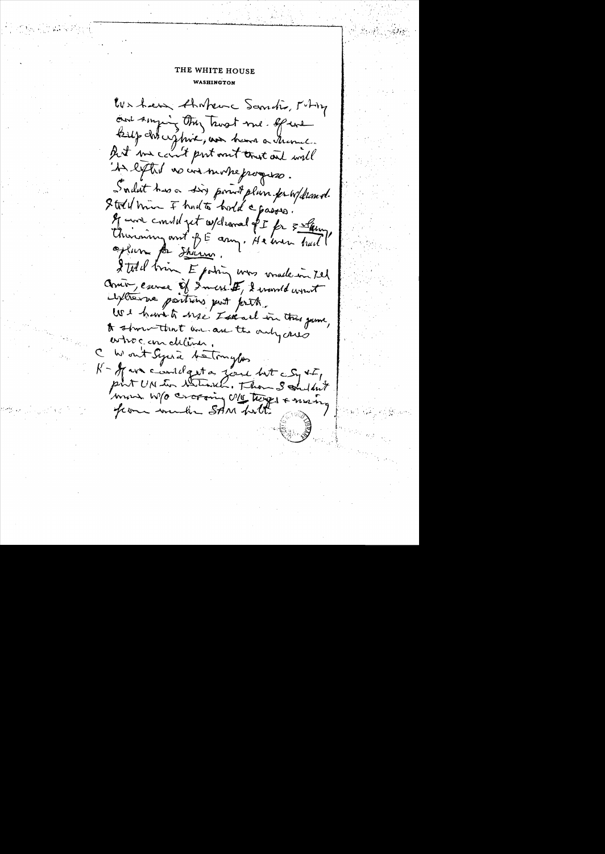We have thaten Sandis, Miting and singing they trust me. If we Bilp chircuppine, non heure a transce But we can't put out trust and will "In light no un mothe progresso. Sadut has a sig point plun peuvellement. I told him I had to hold a passes. If were considered withornal of I for surfarm Thursday and of E any, He were had oplum po Sharm. I tell brin Epotin was voule in tel Como, escree of Imers I, I want wout lythe we parting just prit. We have to see I shall in this game, to show that an an the only cares ortroc em deliver. Won't Syria betonyles  $k$  - of we contelget a form but  $\epsilon S_1 * F_1$ point UN ten Westwarten, Thou 3 condant word W/O cropping U/15 Theyes + many from winder SAM holt.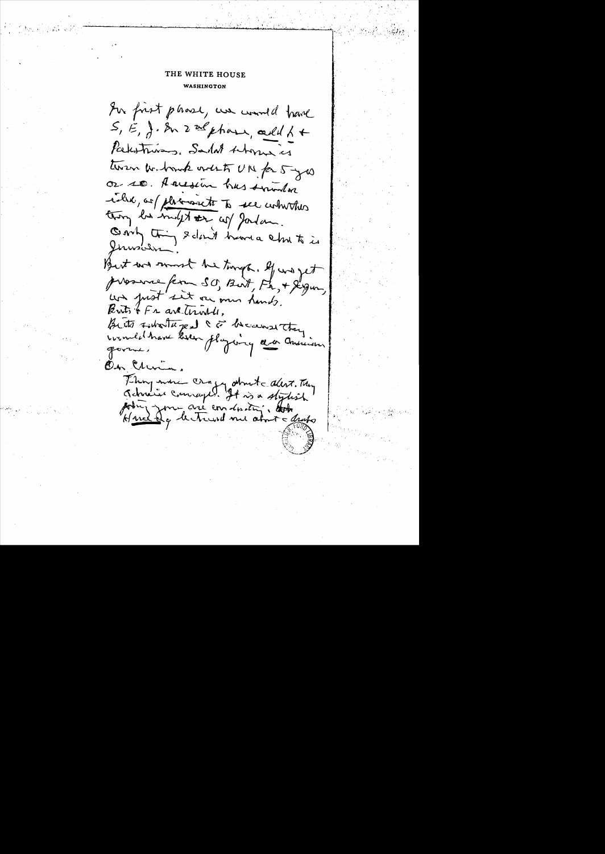In forst phase, we would have  $S, E, \}$ . In 2 as phase, cell 1 + Packstris, Sadat Abonne is twen whenk west UN for 5 yes or so. A acesim has sunted inder, as placemente to see commother thing be indept our cop gordon. Only thing & don't have a chut is But we must he turgs. If we get prosence ferm SO, Birt, Fr, + Jegur, un just sit ou mu hands. Buts of Fr are trinkles. Butts Filter Jeal & F because they comme le trave koren playang a co ansieur On Clerin, Thing were cropy about alert. They Jehnin Conneyed. It is a stylish point you are an inity. Huddy hetrund me about a druho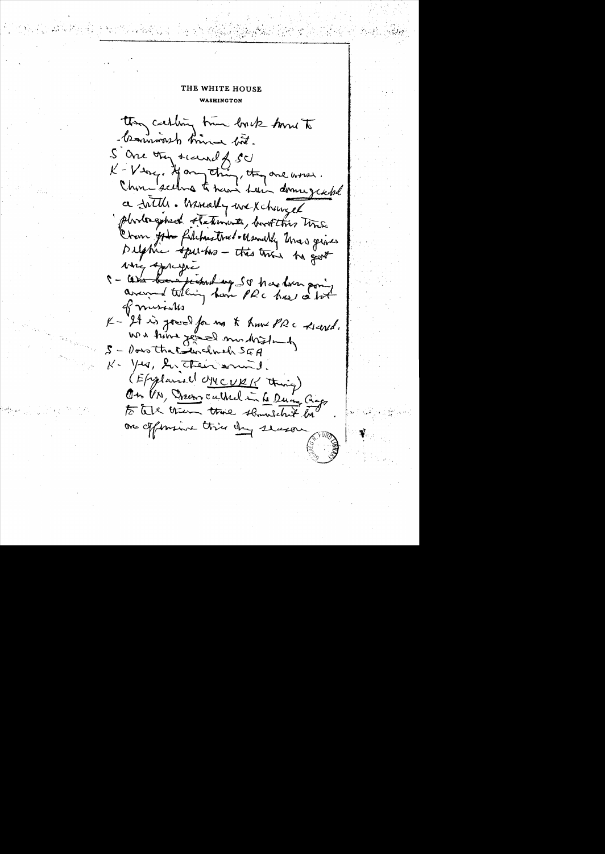they carling true bork home to - transmission time but. S are they secured of SU K-Very. Hang thing, they are worse. Chose seehs to have hair downgeable a fittle. Winnelly we xchanged photogened statements, bookthis time Crem got filchustries - Usually Unas gives Delphie spectrs - this trie by get wing spreyer 5 - Can have parked up SO has been poing arrayed telling have PRC has a lot  $K$ musik K-34 is good for mo & hum PRC Richard. We have gone and that  $\mathcal{S}-\theta$ ous that inclued SEA  $k$  -  $\sqrt{2}a$ , les their sound (Explanal UNCURK thing) On UN, Drew culture in to Duing Chaps to tell them there shouldn't be on ofference this day slason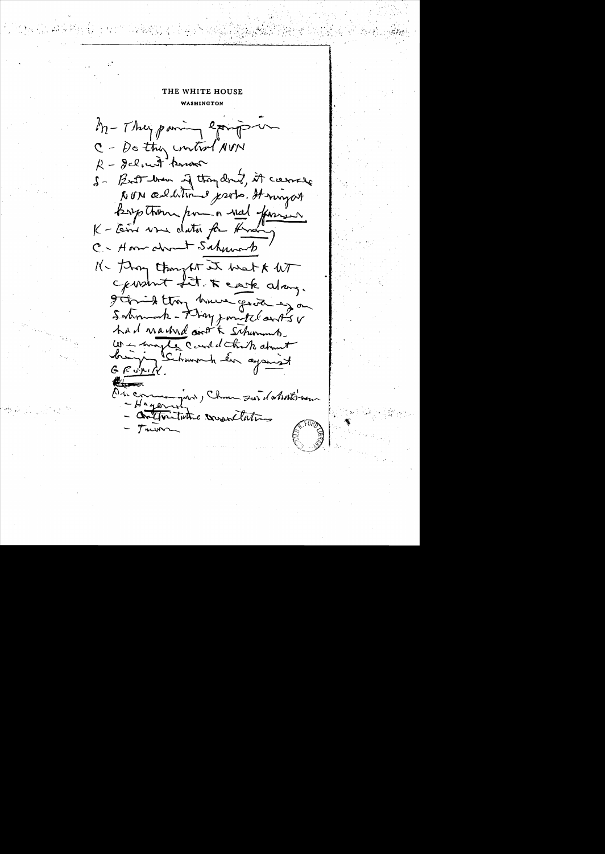M-They pain epings C - De they control NVN R - Jelent know 5 - But brown of thoughout, it corrects NON additions probe. It myself Boys thou por a red former K - terre vou data for Knan C- Home about Schwork 11- Thong thought it want & WT construct fit. I care along. garied thoughout good is on Solumnok - Flaggment Cantsv had nadned ont & Schemmb. Les magles Court d'Etraits atout  $\ell$ On comme par , Chan sur datestion  $-Haqon$ Contraction consentations Trun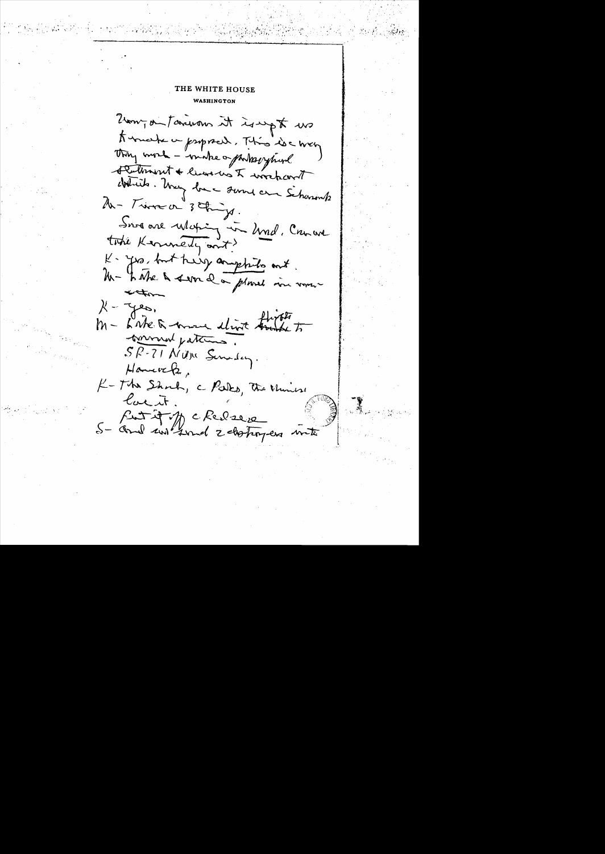Zam, du tancians it is upt us to make a psporal. This is a way Thing work - "make opporting prival Fedmint + live us I wochart districts. Using love sure and Scharants 2h - Time or 3 things. Sur are Moting in Und. Comme took Kerunery and? K- yes, but help anythits ant. Un- 4 Me a ser la planet vou vous  $-420$ M - Lake a move elimit trape to torround patiens SP-71 Night Sunday.  $H$ aneve $h$ K-The Shock, a Parks, the Universe lacit. fut it of the chercal S- and internal 2 destroyers with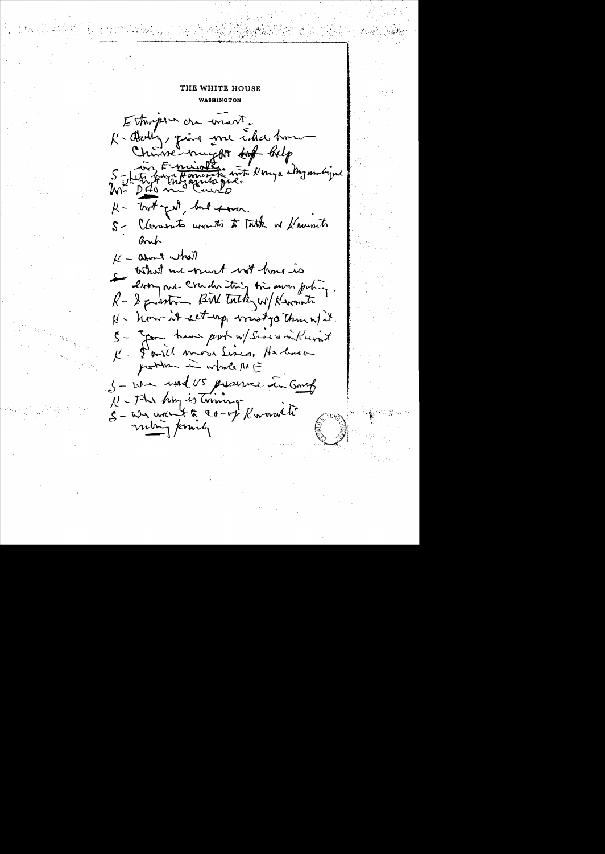# THE WHITE HOUSE

**WASHINGTON** 

Estrupour cre wiert. K- Darlin, quince une cider home Chinne mugger to Relp 5 - Litre france de mot Konga chazambigue bot get, but town.  $\mu$ -S- Clevarents wonts to Tatk as fraunch Bruh  $k -$ arnt what what me went with hims is drong our cruder trig time own pohing. R-2 pression BUN Touthey w/ Newmate K- hom it set up must go thin w/ it. 5 - you have probably several will wint K. Pourll move Sincs, Harbuson problem in whole ME S-We wand US presence in Gong N - The hing is timing. 5-we went to co- of Kwaalt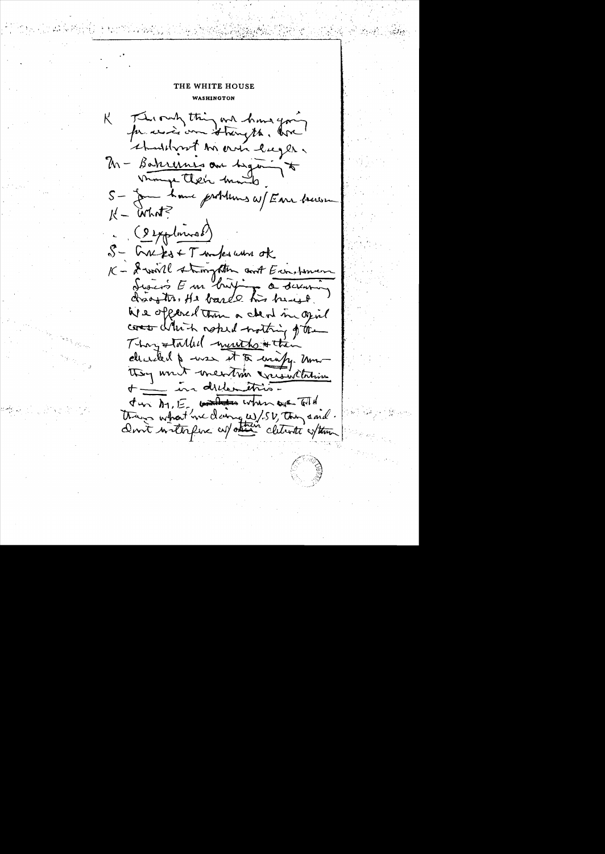#### THE WHITE HOUSE

WASHINGTON

This only thing and have gon  $\mathsf{K}^$ for wind on thing the . One should no are lugles M - Bakrennes au Legan monge their month S- Jam have problems at Earn becom  $k - \text{W}$ 9 (9 explorant) S- Greeks + T under when of K - I will strongthen and Europeman Lesion Em britjang a devening drawth, He barde his heart. We oppered them a cheat in opin comes which noted nothing of the They stalled mutho sthem decided & was it to unify. Um they writ mention creantheir + - in dillention Jun Dy, E contrates when ever told things what we daing w/.52, they and. Don't writerfue and other clearete soften